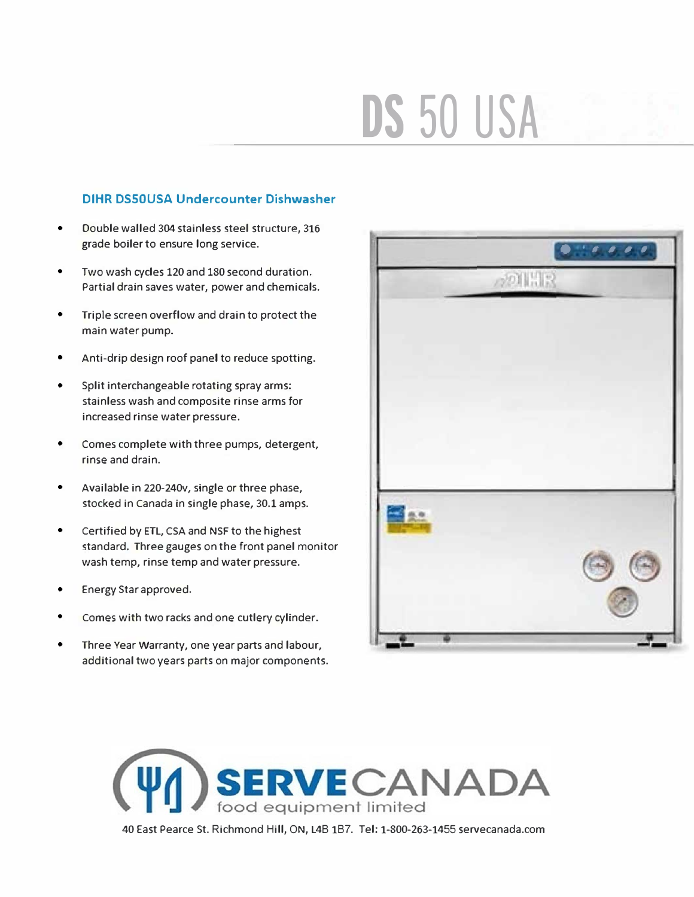## **DS 50 USA**

## **DIHR DSSOUSA Undercounter Dishwasher**

- Double walled 304 stainless steel structure, 316 grade boiler to ensure long service.
- . Two wash cycles 120 and 180 second duration Partial drain saves water, power and chemicals.
- Triple screen overflow and drain to protect the main water pump.
- Anti-drip design roof panel to reduce spotting.
- Split interchangeable rotating spray arms: stainless wash and composite rinse arms for increased rinse water pressure.
- Comes complete with three pumps, detergent, rinse and drain.
- Anti-vermin bottom panel included.
- Available in 220-240V, single or three phase, stocked in Canada in single phase, 30.1 amps.
- Certified by ETL, CSA and NSF to the highest standard. Three gauges on the front panel monitor wash temp, rinse temp and water pressure.
- . Comes with two racks and one cutlery cylinder. Three Year Warranty, one year parts and labour,
- additional two years parts on major components.